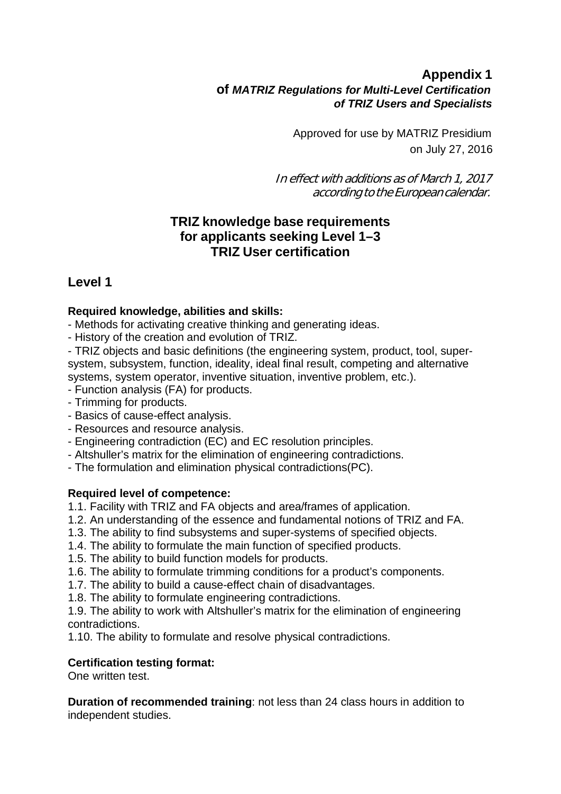## **Appendix 1 of** *MATRIZ Regulations for Multi-Level Certification of TRIZ Users and Specialists*

Approved for use by MATRIZ Presidium on July 27, 2016

In effect with additions as of March 1, 2017 according to the European calendar.

## **TRIZ knowledge base requirements for applicants seeking Level 1–3 TRIZ User certification**

# **Level 1**

## **Required knowledge, abilities and skills:**

- Methods for activating creative thinking and generating ideas.
- History of the creation and evolution of TRIZ.

- TRIZ objects and basic definitions (the engineering system, product, tool, supersystem, subsystem, function, ideality, ideal final result, competing and alternative systems, system operator, inventive situation, inventive problem, etc.).

- Function analysis (FA) for products.
- Trimming for products.
- Basics of cause-effect analysis.
- Resources and resource analysis.
- Engineering contradiction (EC) and EC resolution principles.
- Altshuller's matrix for the elimination of engineering contradictions.
- The formulation and elimination physical contradictions(PC).

#### **Required level of competence:**

- 1.1. Facility with TRIZ and FA objects and area/frames of application.
- 1.2. An understanding of the essence and fundamental notions of TRIZ and FA.
- 1.3. The ability to find subsystems and super-systems of specified objects.
- 1.4. The ability to formulate the main function of specified products.
- 1.5. The ability to build function models for products.
- 1.6. The ability to formulate trimming conditions for a product's components.
- 1.7. The ability to build a cause-effect chain of disadvantages.
- 1.8. The ability to formulate engineering contradictions.

1.9. The ability to work with Altshuller's matrix for the elimination of engineering contradictions.

1.10. The ability to formulate and resolve physical contradictions.

#### **Certification testing format:**

One written test.

**Duration of recommended training**: not less than 24 class hours in addition to independent studies.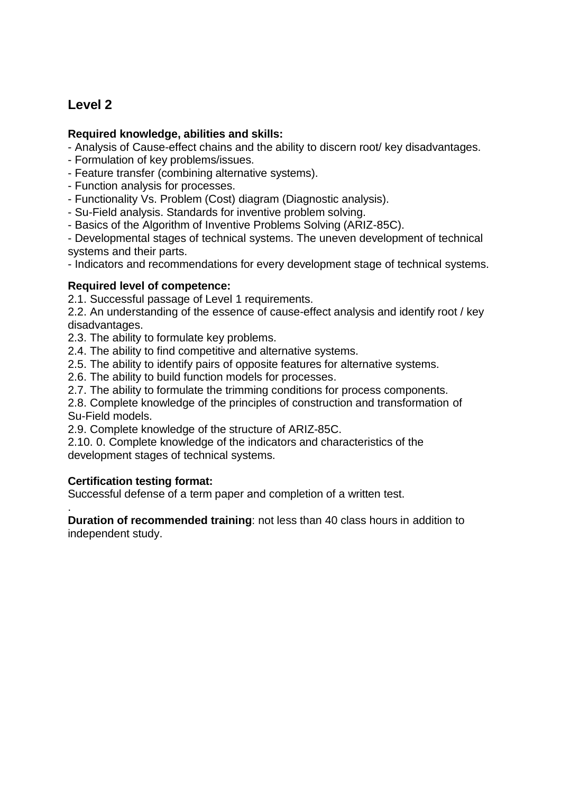# **Level 2**

#### **Required knowledge, abilities and skills:**

- Analysis of Cause-effect chains and the ability to discern root/ key disadvantages.
- Formulation of key problems/issues.
- Feature transfer (combining alternative systems).
- Function analysis for processes.
- Functionality Vs. Problem (Cost) diagram (Diagnostic analysis).
- Su-Field analysis. Standards for inventive problem solving.
- Basics of the Algorithm of Inventive Problems Solving (ARIZ-85C).

- Developmental stages of technical systems. The uneven development of technical systems and their parts.

- Indicators and recommendations for every development stage of technical systems.

#### **Required level of competence:**

2.1. Successful passage of Level 1 requirements.

2.2. An understanding of the essence of cause-effect analysis and identify root / key disadvantages.

2.3. The ability to formulate key problems.

2.4. The ability to find competitive and alternative systems.

2.5. The ability to identify pairs of opposite features for alternative systems.

2.6. The ability to build function models for processes.

2.7. The ability to formulate the trimming conditions for process components.

2.8. Complete knowledge of the principles of construction and transformation of Su-Field models.

2.9. Complete knowledge of the structure of ARIZ-85C.

2.10. 0. Complete knowledge of the indicators and characteristics of the development stages of technical systems.

## **Certification testing format:**

Successful defense of a term paper and completion of a written test.

. **Duration of recommended training**: not less than 40 class hours in addition to independent study.